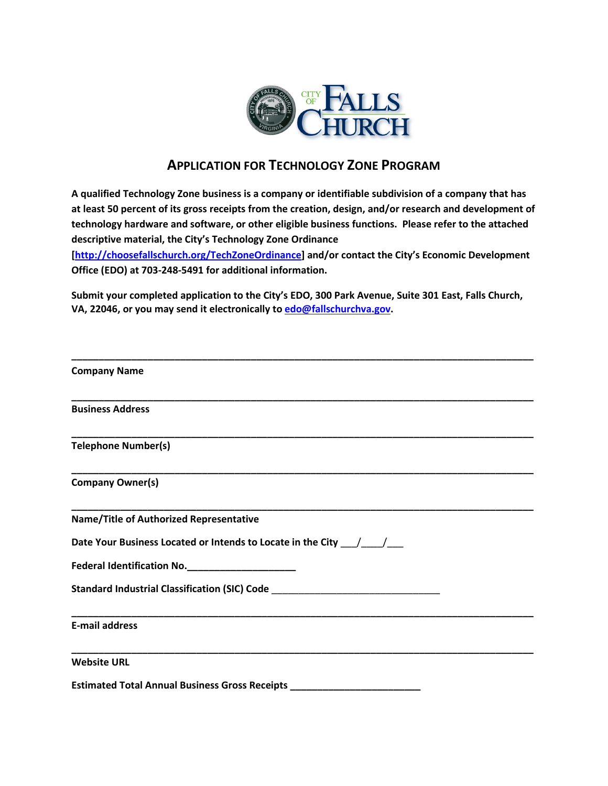

## **APPLICATION FOR TECHNOLOGY ZONE PROGRAM**

**A qualified Technology Zone business is a company or identifiable subdivision of a company that has at least 50 percent of its gross receipts from the creation, design, and/or research and development of technology hardware and software, or other eligible business functions. Please refer to the attached descriptive material, the City's Technology Zone Ordinance** 

**[\[http://choosefallschurch.org/TechZoneOrdinance\] a](http://choosefallschurch.org/TechZoneApplication)nd/or contact the City's Economic Development Office (EDO) at 703-248-5491 for additional information.** 

**Submit your completed application to the City's EDO, 300 Park Avenue, Suite 301 East, Falls Church, VA, 22046, or you may send it electronically to [edo@fallschurchva.gov.](mailto:edo@fallschurchva.gov)** 

| <b>Company Name</b>                                                              |
|----------------------------------------------------------------------------------|
| <b>Business Address</b>                                                          |
| Telephone Number(s)                                                              |
| Company Owner(s)                                                                 |
| <b>Name/Title of Authorized Representative</b>                                   |
| Date Your Business Located or Intends to Locate in the City $\angle$             |
| Federal Identification No. _______________________                               |
| Standard Industrial Classification (SIC) Code __________________________________ |
| <b>E-mail address</b>                                                            |
| <b>Website URL</b>                                                               |
| Estimated Total Annual Business Gross Receipts _________________________________ |